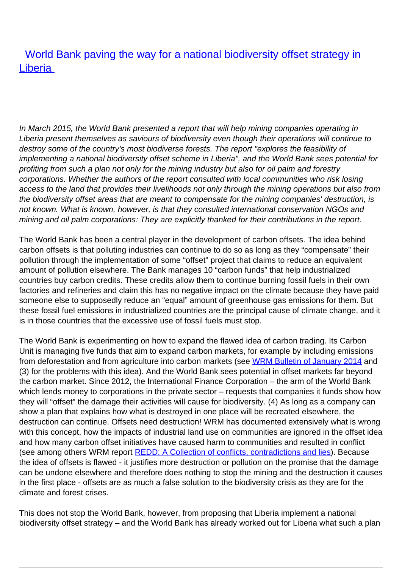**[World Bank paving the way for a national biodiversity offset strategy in](/bulletin-articles/world-bank-paving-the-way-for-a-national-biodiversity-offset-strategy-in-liberia) [Liberia](/bulletin-articles/world-bank-paving-the-way-for-a-national-biodiversity-offset-strategy-in-liberia)** 

In March 2015, the World Bank presented a report that will help mining companies operating in Liberia present themselves as saviours of biodiversity even though their operations will continue to destroy some of the country's most biodiverse forests. The report "explores the feasibility of implementing a national biodiversity offset scheme in Liberia", and the World Bank sees potential for profiting from such a plan not only for the mining industry but also for oil palm and forestry corporations. Whether the authors of the report consulted with local communities who risk losing access to the land that provides their livelihoods not only through the mining operations but also from the biodiversity offset areas that are meant to compensate for the mining companies' destruction, is not known. What is known, however, is that they consulted international conservation NGOs and mining and oil palm corporations: They are explicitly thanked for their contributions in the report.

The World Bank has been a central player in the development of carbon offsets. The idea behind carbon offsets is that polluting industries can continue to do so as long as they "compensate" their pollution through the implementation of some "offset" project that claims to reduce an equivalent amount of pollution elsewhere. The Bank manages 10 "carbon funds" that help industrialized countries buy carbon credits. These credits allow them to continue burning fossil fuels in their own factories and refineries and claim this has no negative impact on the climate because they have paid someone else to supposedly reduce an "equal" amount of greenhouse gas emissions for them. But these fossil fuel emissions in industrialized countries are the principal cause of climate change, and it is in those countries that the excessive use of fossil fuels must stop.

The World Bank is experimenting on how to expand the flawed idea of carbon trading. Its Carbon Unit is managing five funds that aim to expand carbon markets, for example by including emissions from deforestation and from agriculture into carbon markets (see [WRM Bulletin of January 2014](http://wrm.us9.list-manage.com/track/click?u=f91b651f7fecdf835b57dc11d&id=6f13f43630&e=0a9bf43b39) and (3) for the problems with this idea). And the World Bank sees potential in offset markets far beyond the carbon market. Since 2012, the International Finance Corporation – the arm of the World Bank which lends money to corporations in the private sector – requests that companies it funds show how they will "offset" the damage their activities will cause for biodiversity. (4) As long as a company can show a plan that explains how what is destroyed in one place will be recreated elsewhere, the destruction can continue. Offsets need destruction! WRM has documented extensively what is wrong with this concept, how the impacts of industrial land use on communities are ignored in the offset idea and how many carbon offset initiatives have caused harm to communities and resulted in conflict (see among others WRM report [REDD: A Collection of conflicts, contradictions and lies\)](http://wrm.us9.list-manage.com/track/click?u=f91b651f7fecdf835b57dc11d&id=a0befa371c&e=0a9bf43b39). Because the idea of offsets is flawed - it justifies more destruction or pollution on the promise that the damage can be undone elsewhere and therefore does nothing to stop the mining and the destruction it causes in the first place - offsets are as much a false solution to the biodiversity crisis as they are for the climate and forest crises.

This does not stop the World Bank, however, from proposing that Liberia implement a national biodiversity offset strategy – and the World Bank has already worked out for Liberia what such a plan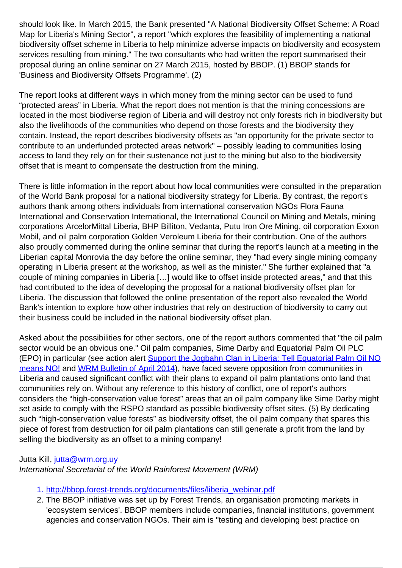should look like. In March 2015, the Bank presented "A National Biodiversity Offset Scheme: A Road Map for Liberia's Mining Sector", a report "which explores the feasibility of implementing a national biodiversity offset scheme in Liberia to help minimize adverse impacts on biodiversity and ecosystem services resulting from mining." The two consultants who had written the report summarised their proposal during an online seminar on 27 March 2015, hosted by BBOP. (1) BBOP stands for 'Business and Biodiversity Offsets Programme'. (2)

The report looks at different ways in which money from the mining sector can be used to fund "protected areas" in Liberia. What the report does not mention is that the mining concessions are located in the most biodiverse region of Liberia and will destroy not only forests rich in biodiversity but also the livelihoods of the communities who depend on those forests and the biodiversity they contain. Instead, the report describes biodiversity offsets as "an opportunity for the private sector to contribute to an underfunded protected areas network" – possibly leading to communities losing access to land they rely on for their sustenance not just to the mining but also to the biodiversity offset that is meant to compensate the destruction from the mining.

There is little information in the report about how local communities were consulted in the preparation of the World Bank proposal for a national biodiversity strategy for Liberia. By contrast, the report's authors thank among others individuals from international conservation NGOs Flora Fauna International and Conservation International, the International Council on Mining and Metals, mining corporations ArcelorMittal Liberia, BHP Billiton, Vedanta, Putu Iron Ore Mining, oil corporation Exxon Mobil, and oil palm corporation Golden Veroleum Liberia for their contribution. One of the authors also proudly commented during the online seminar that during the report's launch at a meeting in the Liberian capital Monrovia the day before the online seminar, they "had every single mining company operating in Liberia present at the workshop, as well as the minister." She further explained that "a couple of mining companies in Liberia […] would like to offset inside protected areas," and that this had contributed to the idea of developing the proposal for a national biodiversity offset plan for Liberia. The discussion that followed the online presentation of the report also revealed the World Bank's intention to explore how other industries that rely on destruction of biodiversity to carry out their business could be included in the national biodiversity offset plan.

Asked about the possibilities for other sectors, one of the report authors commented that "the oil palm sector would be an obvious one." Oil palm companies, Sime Darby and Equatorial Palm Oil PLC (EPO) in particular (see action alert [Support the Jogbahn Clan in Liberia: Tell Equatorial Palm Oil NO](http://wrm.us9.list-manage.com/track/click?u=f91b651f7fecdf835b57dc11d&id=7e148c18b2&e=0a9bf43b39) [means NO!](http://wrm.us9.list-manage.com/track/click?u=f91b651f7fecdf835b57dc11d&id=7e148c18b2&e=0a9bf43b39) and [WRM Bulletin of April 2014](http://wrm.us9.list-manage.com/track/click?u=f91b651f7fecdf835b57dc11d&id=335227630b&e=0a9bf43b39)), have faced severe opposition from communities in Liberia and caused significant conflict with their plans to expand oil palm plantations onto land that communities rely on. Without any reference to this history of conflict, one of report's authors considers the "high-conservation value forest" areas that an oil palm company like Sime Darby might set aside to comply with the RSPO standard as possible biodiversity offset sites. (5) By dedicating such "high-conservation value forests" as biodiversity offset, the oil palm company that spares this piece of forest from destruction for oil palm plantations can still generate a profit from the land by selling the biodiversity as an offset to a mining company!

## Jutta Kill, jutta@wrm.org.uv

International Secretariat of the World Rainforest Movement (WRM)

- 1. [http://bbop.forest-trends.org/documents/files/liberia\\_webinar.pdf](http://wrm.us9.list-manage2.com/track/click?u=f91b651f7fecdf835b57dc11d&id=f266f09099&e=0a9bf43b39)
- 2. The BBOP initiative was set up by Forest Trends, an organisation promoting markets in 'ecosystem services'. BBOP members include companies, financial institutions, government agencies and conservation NGOs. Their aim is "testing and developing best practice on